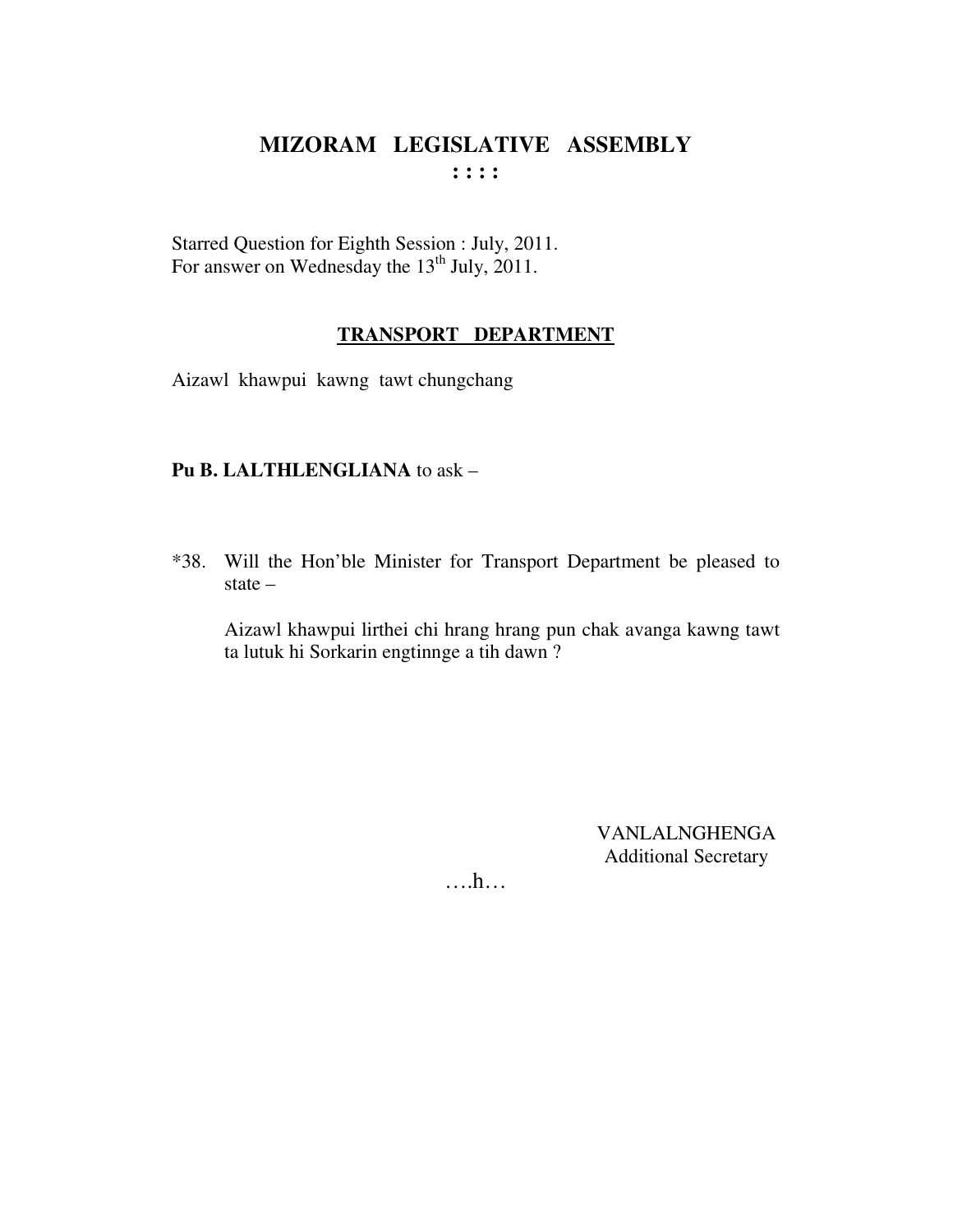Starred Question for Eighth Session : July, 2011. For answer on Wednesday the  $13<sup>th</sup>$  July, 2011.

#### **TRANSPORT DEPARTMENT**

Aizawl khawpui kawng tawt chungchang

### **Pu B. LALTHLENGLIANA** to ask –

\*38. Will the Hon'ble Minister for Transport Department be pleased to state –

Aizawl khawpui lirthei chi hrang hrang pun chak avanga kawng tawt ta lutuk hi Sorkarin engtinnge a tih dawn ?

> VANLALNGHENGA Additional Secretary

….h…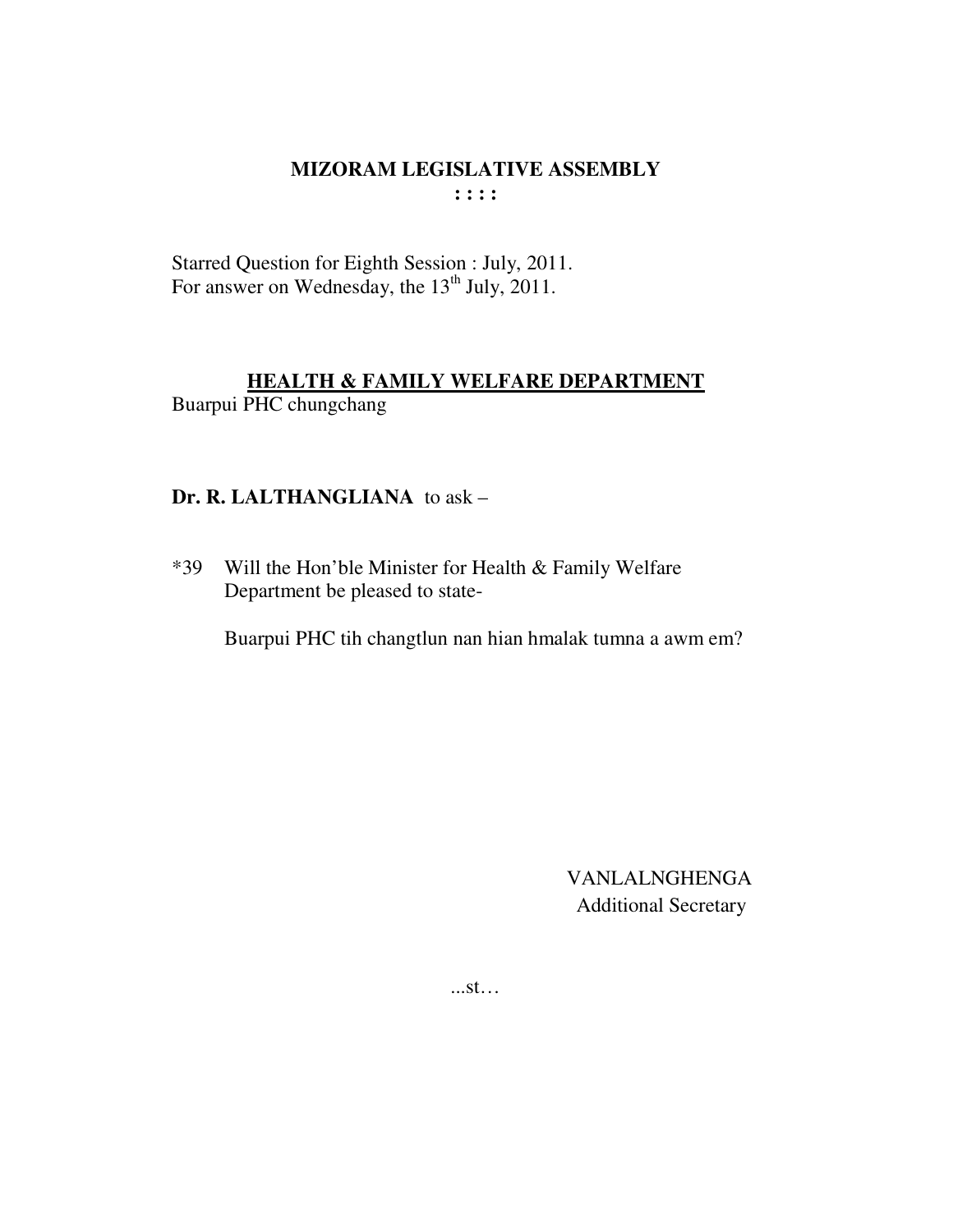Starred Question for Eighth Session : July, 2011. For answer on Wednesday, the  $13<sup>th</sup>$  July, 2011.

### **HEALTH & FAMILY WELFARE DEPARTMENT** Buarpui PHC chungchang

### **Dr. R. LALTHANGLIANA** to ask –

\*39 Will the Hon'ble Minister for Health & Family Welfare Department be pleased to state-

Buarpui PHC tih changtlun nan hian hmalak tumna a awm em?

VANLALNGHENGA Additional Secretary

...st…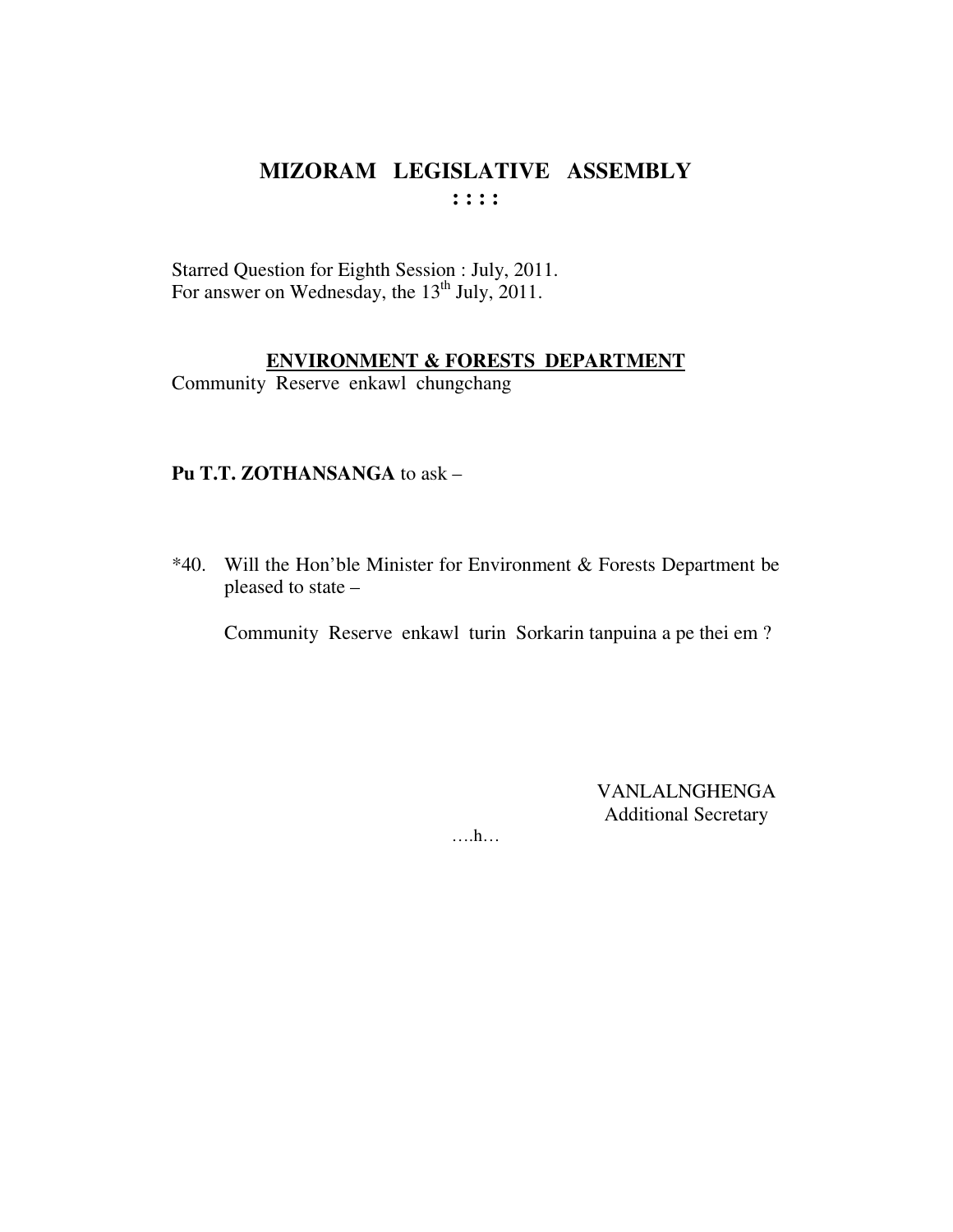Starred Question for Eighth Session : July, 2011.<br>For answer on Wednesday, the 13<sup>th</sup> July, 2011.

#### **ENVIRONMENT & FORESTS DEPARTMENT**

Community Reserve enkawl chungchang

### Pu T.T. ZOTHANSANGA to ask -

\*40. Will the Hon'ble Minister for Environment & Forests Department be pleased to state -

Community Reserve enkawl turin Sorkarin tanpuina a pe thei em?

**VANLALNGHENGA Additional Secretary** 

 $\dots$ ...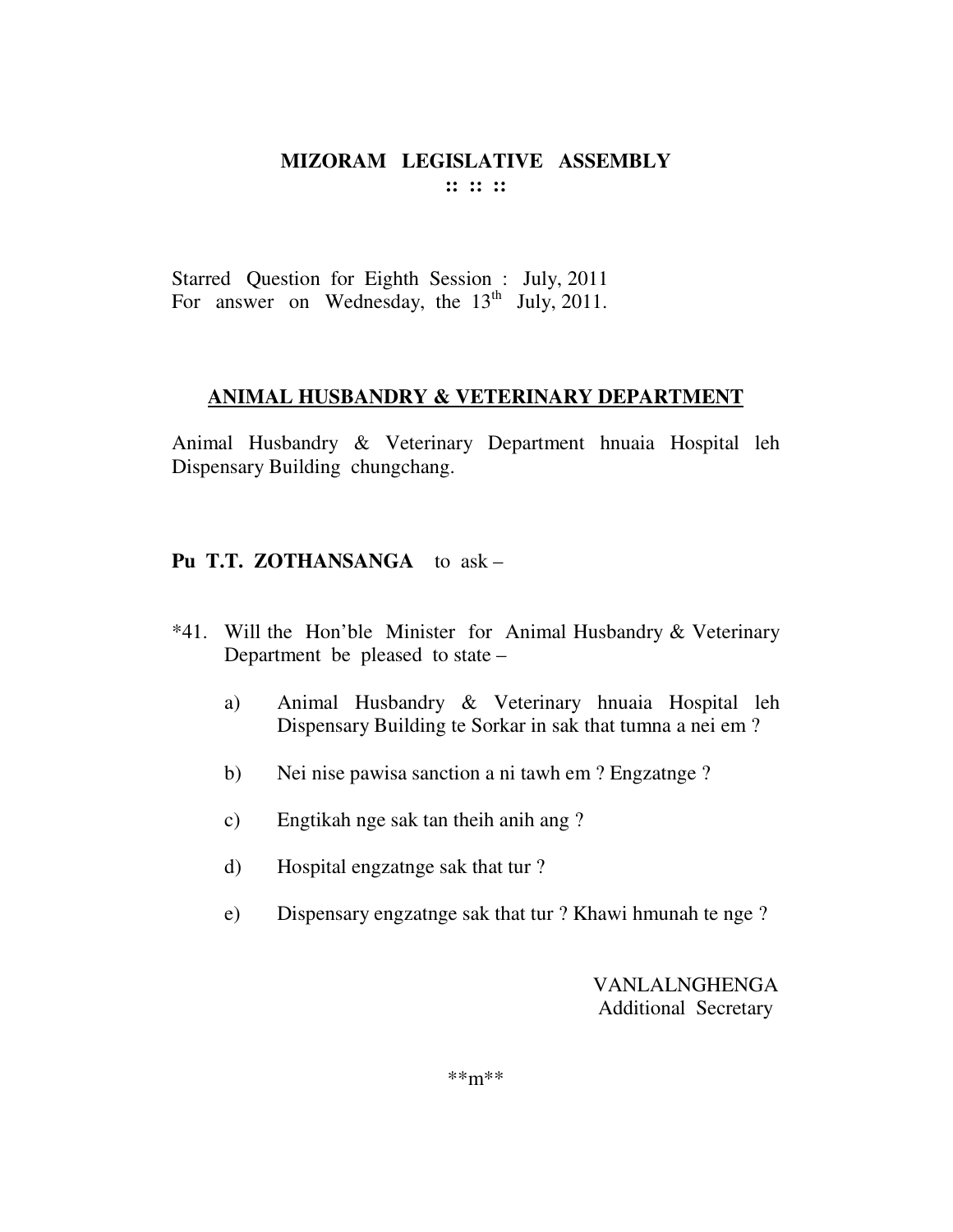Starred Question for Eighth Session : July, 2011 For answer on Wednesday, the  $13<sup>th</sup>$  July, 2011.

### **ANIMAL HUSBANDRY & VETERINARY DEPARTMENT**

Animal Husbandry & Veterinary Department hnuaia Hospital leh Dispensary Building chungchang.

### **Pu T.T. ZOTHANSANGA** to ask –

- \*41. Will the Hon'ble Minister for Animal Husbandry & Veterinary Department be pleased to state –
	- a) Animal Husbandry & Veterinary hnuaia Hospital leh Dispensary Building te Sorkar in sak that tumna a nei em ?
	- b) Nei nise pawisa sanction a ni tawh em ? Engzatnge ?
	- c) Engtikah nge sak tan theih anih ang ?
	- d) Hospital engzatnge sak that tur ?
	- e) Dispensary engzatnge sak that tur ? Khawi hmunah te nge ?

VANLALNGHENGA Additional Secretary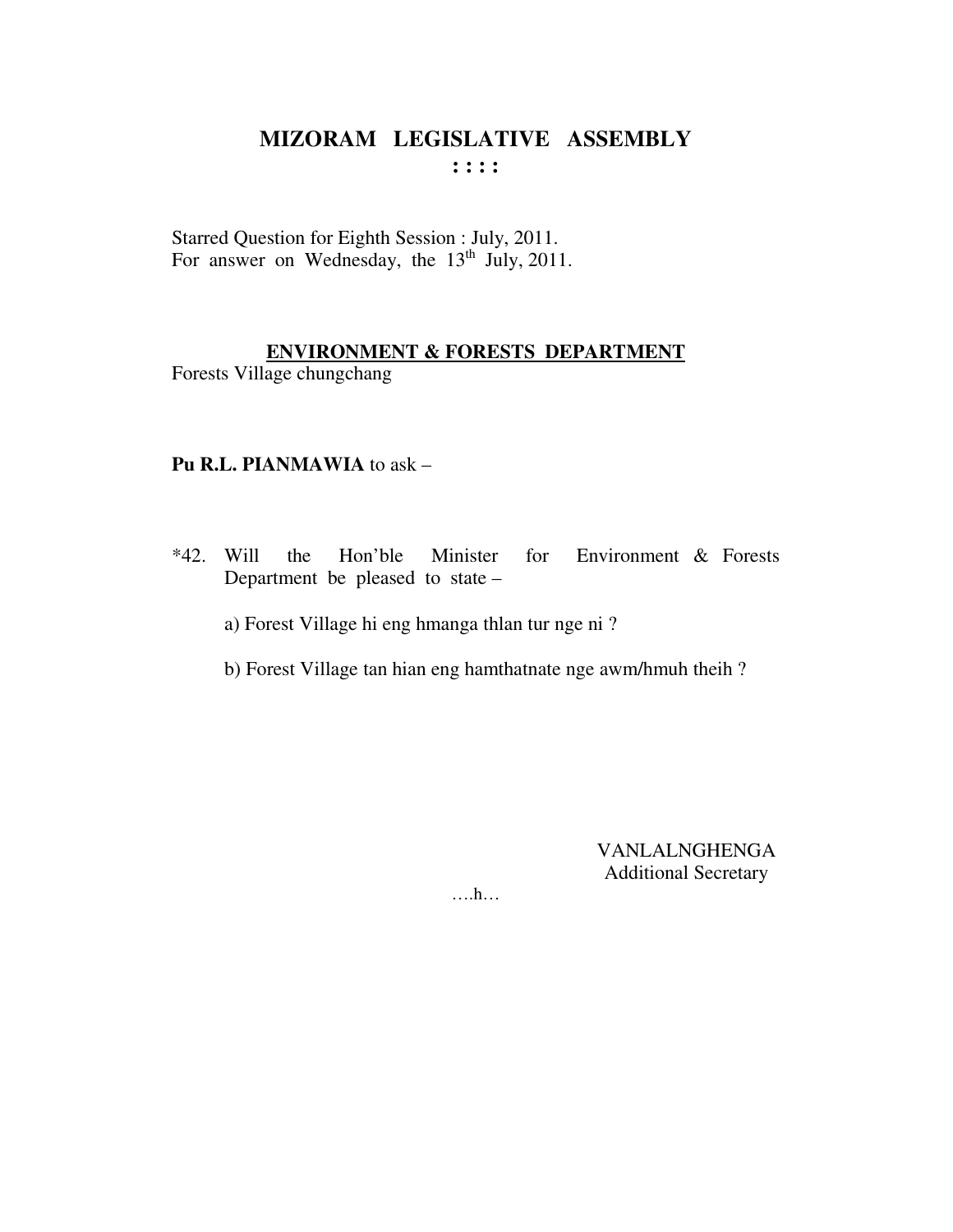Starred Question for Eighth Session : July, 2011. For answer on Wednesday, the 13<sup>th</sup> July, 2011.

### **ENVIRONMENT & FORESTS DEPARTMENT**

Forests Village chungchang

### Pu R.L. PIANMAWIA to ask -

 $*42$ . Will the Hon'ble Minister for Environment & Forests Department be pleased to state –

a) Forest Village hi eng hmanga thlan tur nge ni?

b) Forest Village tan hian eng hamthatnate nge awm/hmuh theih ?

VANLALNGHENGA **Additional Secretary** 

 $\dots$ ...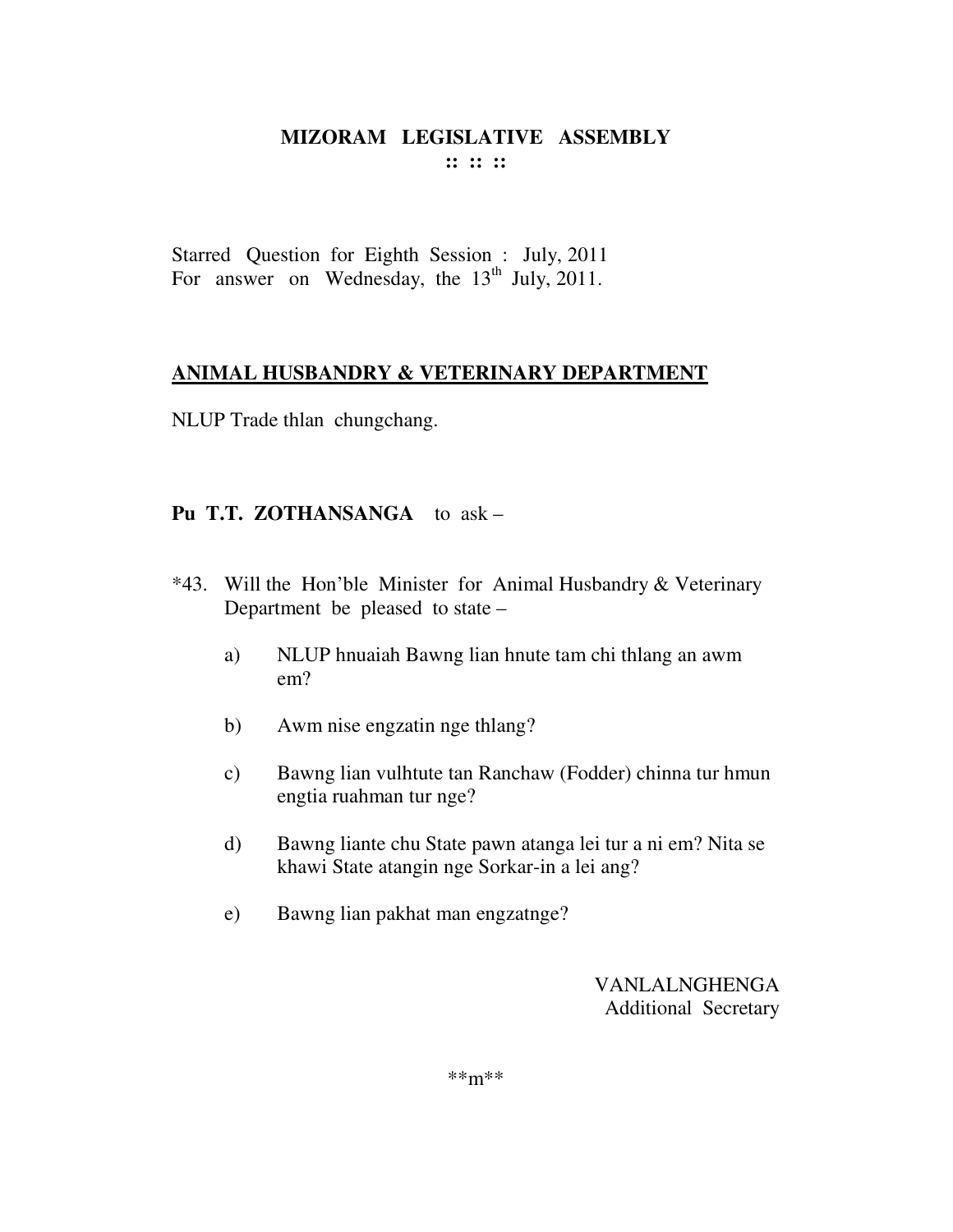Starred Question for Eighth Session : July, 2011 For answer on Wednesday, the  $13<sup>th</sup>$  July, 2011.

### **ANIMAL HUSBANDRY & VETERINARY DEPARTMENT**

NLUP Trade thlan chungchang.

## **Pu T.T. ZOTHANSANGA** to ask –

- \*43. Will the Hon'ble Minister for Animal Husbandry & Veterinary Department be pleased to state –
	- a) NLUP hnuaiah Bawng lian hnute tam chi thlang an awm em?
	- b) Awm nise engzatin nge thlang?
	- c) Bawng lian vulhtute tan Ranchaw (Fodder) chinna tur hmun engtia ruahman tur nge?
	- d) Bawng liante chu State pawn atanga lei tur a ni em? Nita se khawi State atangin nge Sorkar-in a lei ang?
	- e) Bawng lian pakhat man engzatnge?

VANLALNGHENGA Additional Secretary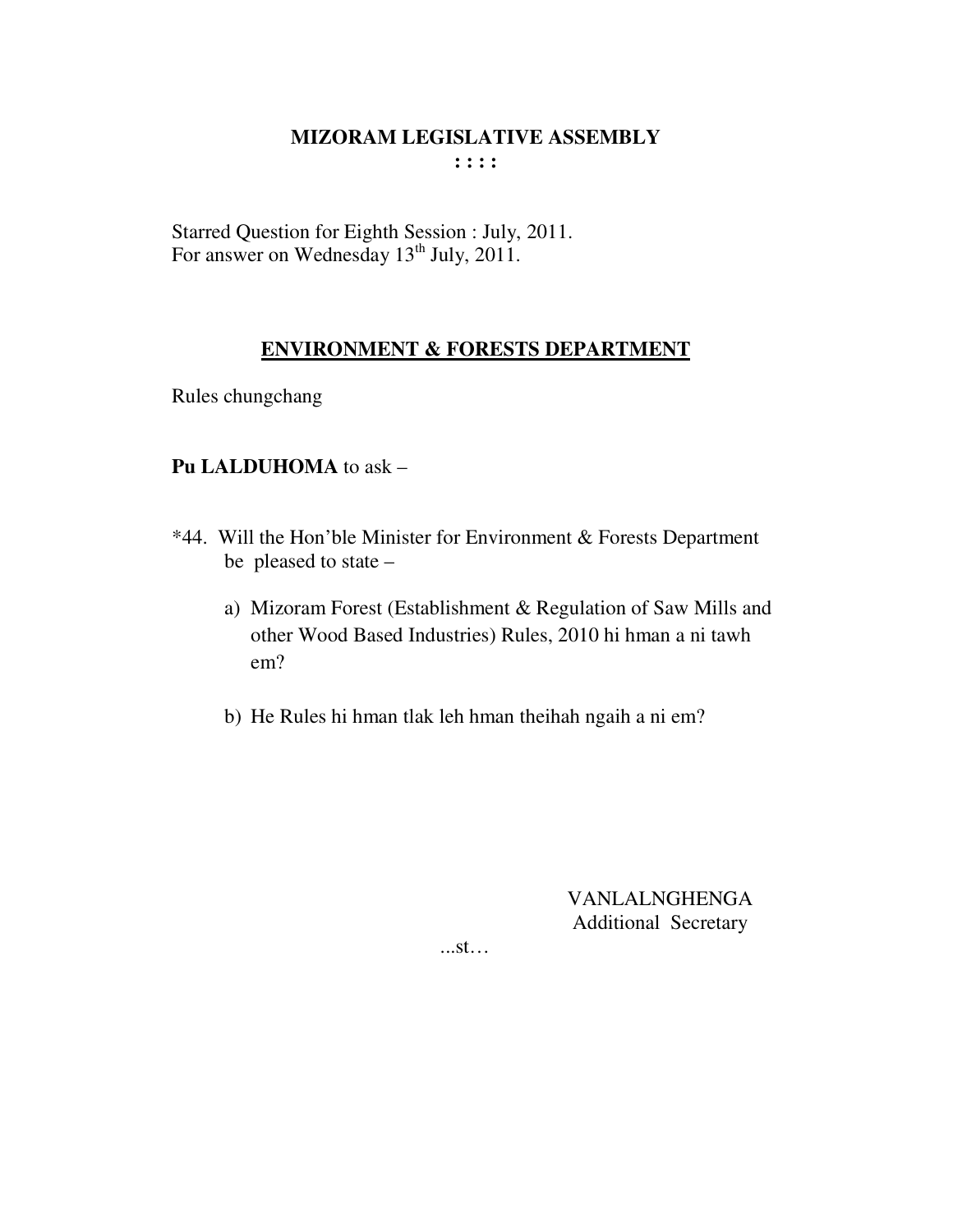Starred Question for Eighth Session : July, 2011.<br>For answer on Wednesday 13<sup>th</sup> July, 2011.

### **ENVIRONMENT & FORESTS DEPARTMENT**

Rules chungchang

### Pu LALDUHOMA to ask -

- \*44. Will the Hon'ble Minister for Environment & Forests Department be pleased to state
	- a) Mizoram Forest (Establishment & Regulation of Saw Mills and other Wood Based Industries) Rules, 2010 hi hman a ni tawh  $em?$
	- b) He Rules hi hman tlak leh hman theihah ngaih a ni em?

**VANLALNGHENGA Additional Secretary** 

 $...st...$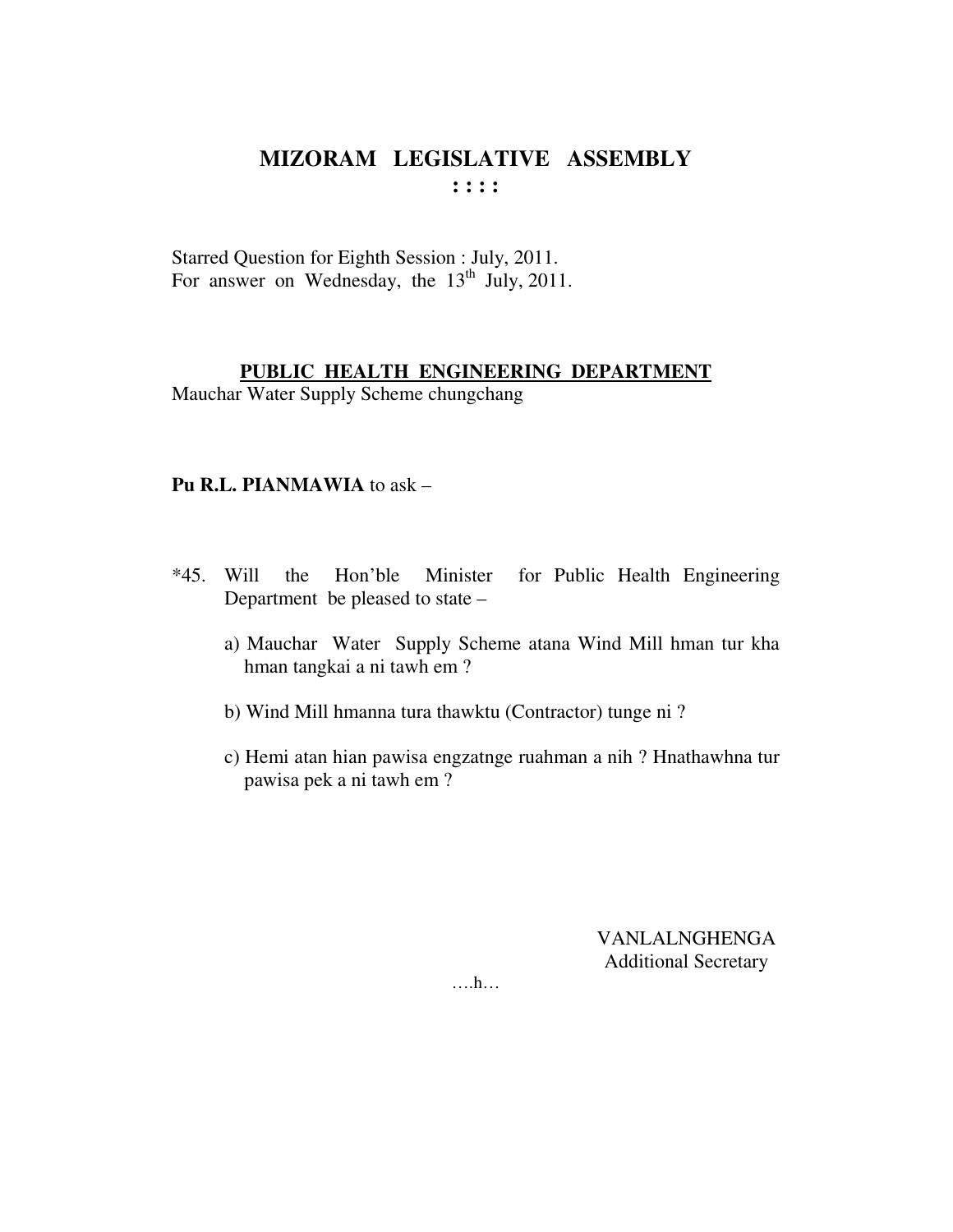Starred Question for Eighth Session : July, 2011. For answer on Wednesday, the  $13<sup>th</sup>$  July, 2011.

### **PUBLIC HEALTH ENGINEERING DEPARTMENT**

Mauchar Water Supply Scheme chungchang

### **Pu R.L. PIANMAWIA** to ask –

- \*45. Will the Hon'ble Minister for Public Health Engineering Department be pleased to state –
	- a) Mauchar Water Supply Scheme atana Wind Mill hman tur kha hman tangkai a ni tawh em ?
	- b) Wind Mill hmanna tura thawktu (Contractor) tunge ni ?
	- c) Hemi atan hian pawisa engzatnge ruahman a nih ? Hnathawhna tur pawisa pek a ni tawh em ?

VANLALNGHENGA Additional Secretary

….h…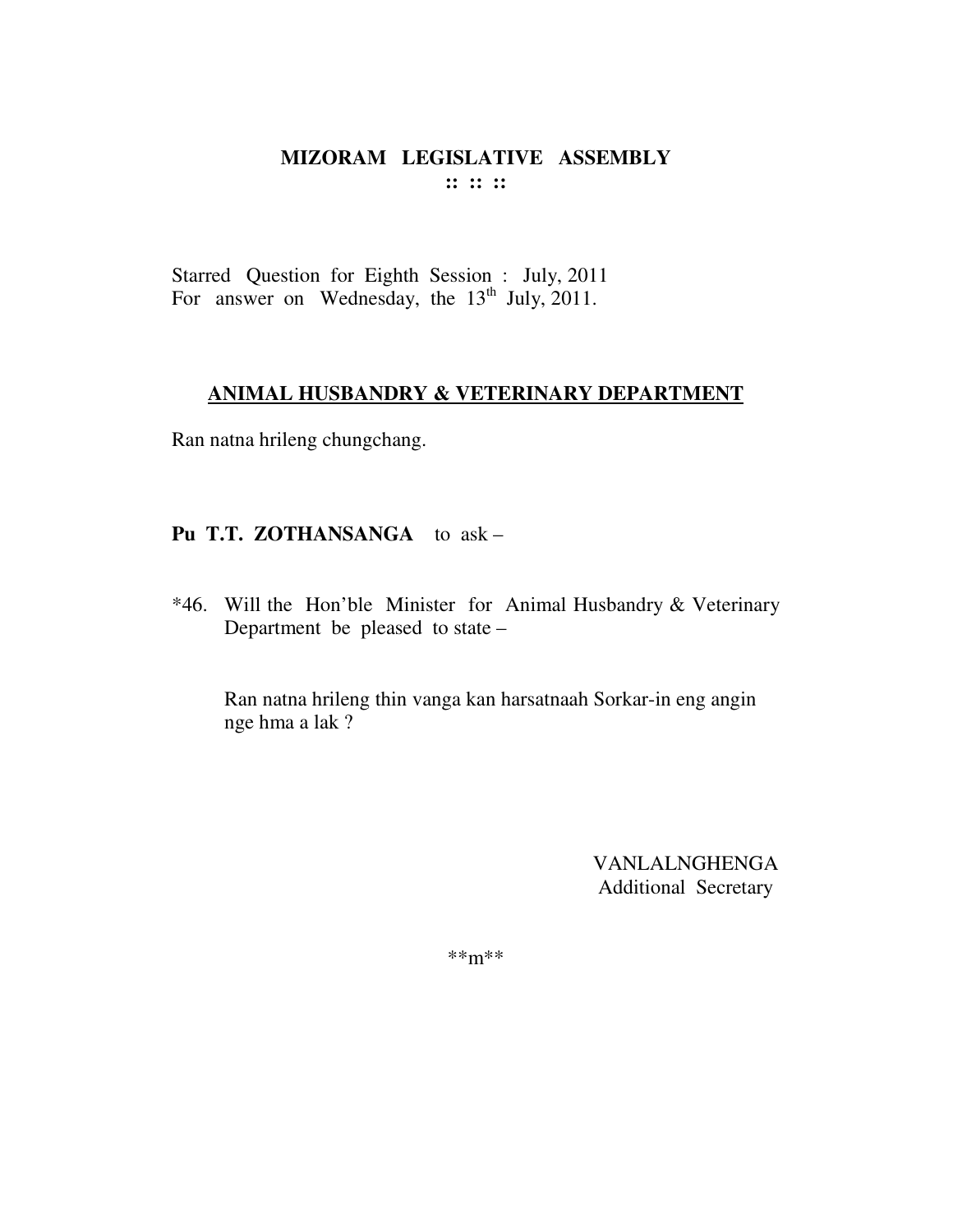Starred Question for Eighth Session : July, 2011 For answer on Wednesday, the  $13<sup>th</sup>$  July, 2011.

### **ANIMAL HUSBANDRY & VETERINARY DEPARTMENT**

Ran natna hrileng chungchang.

## **Pu T.T. ZOTHANSANGA** to ask –

\*46. Will the Hon'ble Minister for Animal Husbandry & Veterinary Department be pleased to state –

Ran natna hrileng thin vanga kan harsatnaah Sorkar-in eng angin nge hma a lak ?

> VANLALNGHENGA Additional Secretary

\*\*m\*\*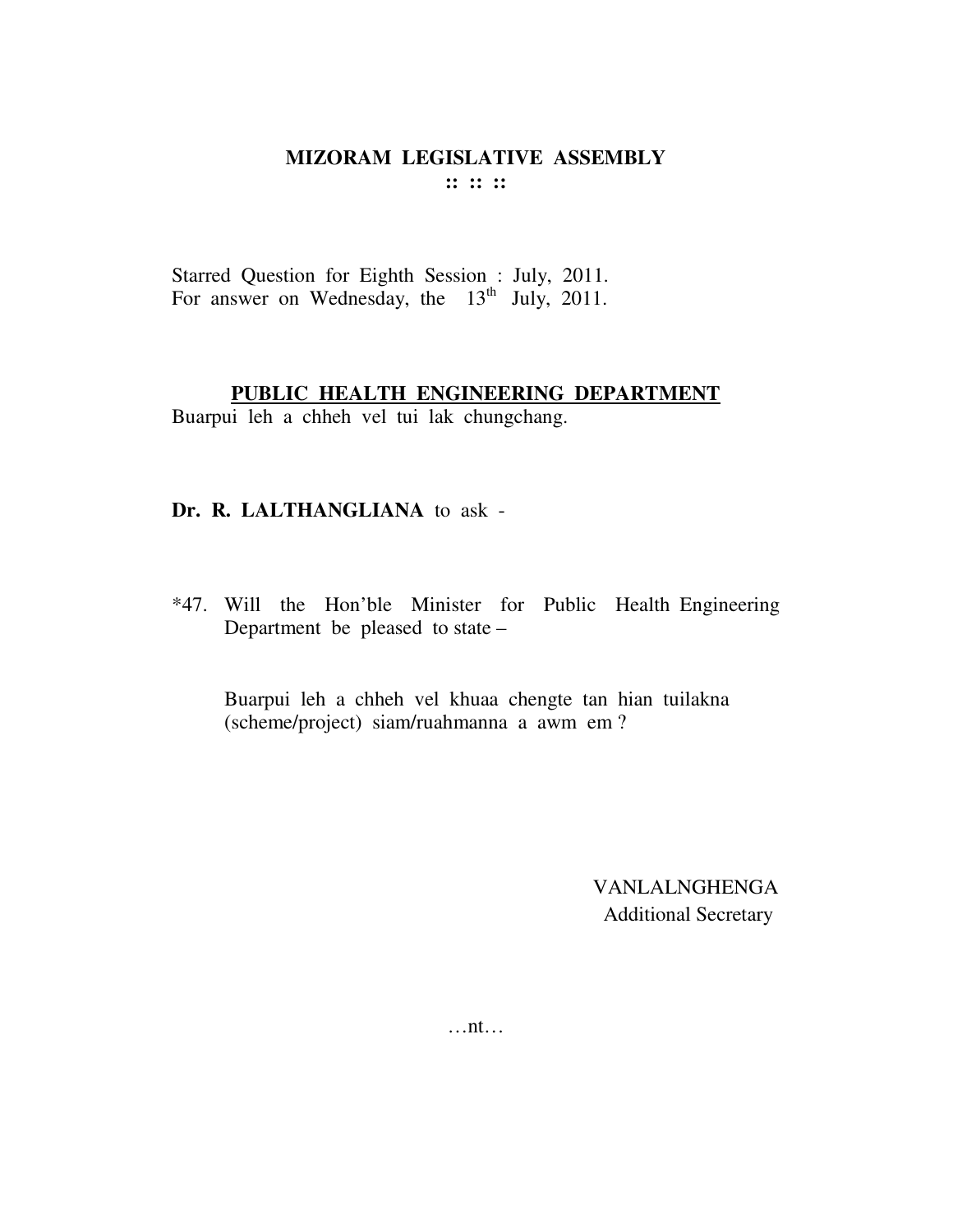Starred Question for Eighth Session : July, 2011. For answer on Wednesday, the  $13<sup>th</sup>$  July, 2011.

#### **PUBLIC HEALTH ENGINEERING DEPARTMENT**

Buarpui leh a chheh vel tui lak chungchang.

### **Dr. R. LALTHANGLIANA** to ask -

\*47. Will the Hon'ble Minister for Public Health Engineering Department be pleased to state –

 Buarpui leh a chheh vel khuaa chengte tan hian tuilakna (scheme/project) siam/ruahmanna a awm em ?

> VANLALNGHENGA Additional Secretary

…nt…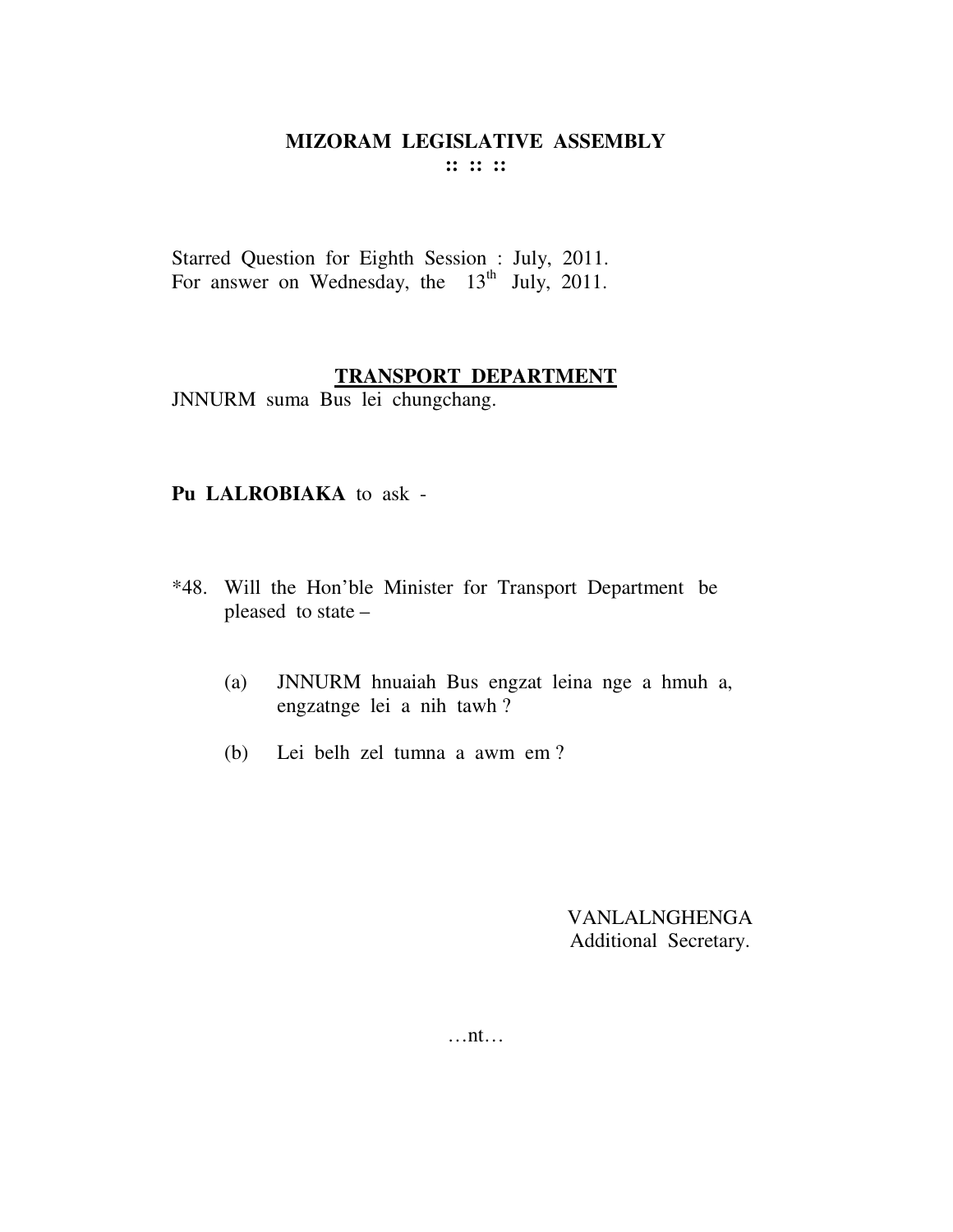Starred Question for Eighth Session : July, 2011. For answer on Wednesday, the  $13<sup>th</sup>$  July, 2011.

#### **TRANSPORT DEPARTMENT**

JNNURM suma Bus lei chungchang.

#### **Pu LALROBIAKA** to ask -

- \*48. Will the Hon'ble Minister for Transport Department be pleased to state –
	- (a) JNNURM hnuaiah Bus engzat leina nge a hmuh a, engzatnge lei a nih tawh ?
	- (b) Lei belh zel tumna a awm em ?

VANLALNGHENGA Additional Secretary.

…nt…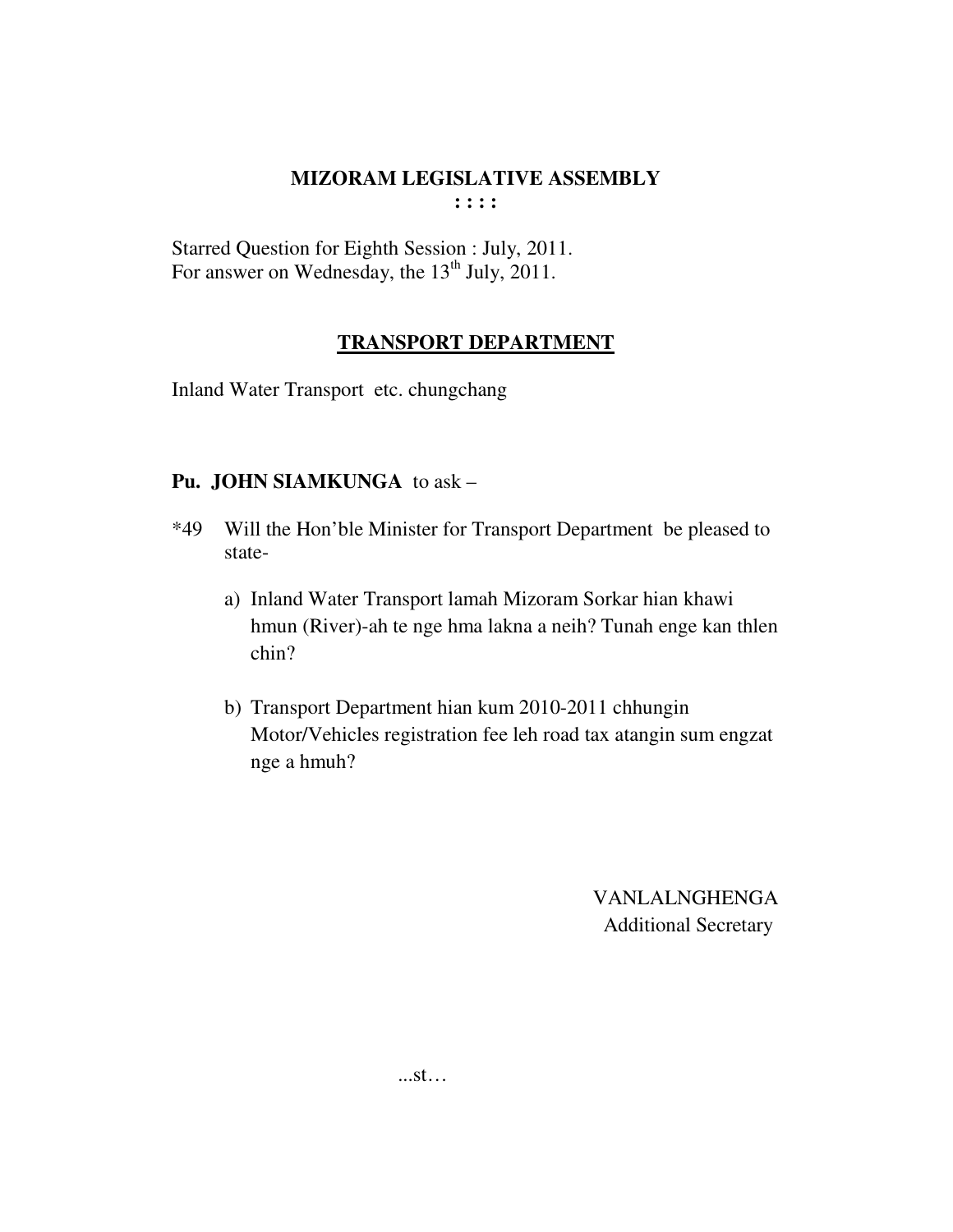Starred Question for Eighth Session : July, 2011. For answer on Wednesday, the 13<sup>th</sup> July, 2011.

### **TRANSPORT DEPARTMENT**

Inland Water Transport etc. chungchang

## **Pu. JOHN SIAMKUNGA** to ask –

- \*49 Will the Hon'ble Minister for Transport Department be pleased to state
	- a) Inland Water Transport lamah Mizoram Sorkar hian khawi hmun (River)-ah te nge hma lakna a neih? Tunah enge kan thlen chin?
	- b) Transport Department hian kum 2010-2011 chhungin Motor/Vehicles registration fee leh road tax atangin sum engzat nge a hmuh?

VANLALNGHENGA Additional Secretary